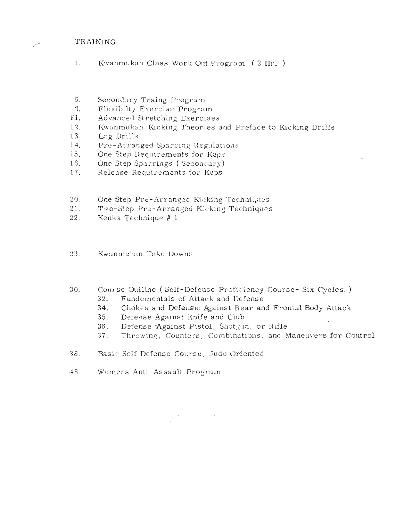# TRAINING

- $1<sup>1</sup>$ Kwanmukan Class Work Out Program (2 Hr.)
- $6 -$ Secondary Traing Program
- Flexibilty Exercise Program  $\mathcal{S}$ .
- Advanced Stretching Exercises 11.
- Kwanmukan Kicking Theories and Preface to Kicking Drills  $12<sup>7</sup>$
- Leg Drills  $13.$
- $14.$ Pre-Arranged Soarring Regulations
- One Step Requirements for Kups 15.
- One Step Sparrings (Secondary) 16.
- Release Requirements for Kups  $17.$
- $20.$ One Step Pre-Arranged Kicking Techniques
- $21.$ Two-Step Pre-Arranged Kicking Techniques
- Kenka Technique # 1  $22<sub>1</sub>$

 $23.$ Kwanmukan Take Downs

- $30.$ Course Outline (Self-Defense Proficiency Course- Six Cycles.)
	- Fundementals of Attack and Defense  $32.$
	- Chokes and Defense: Against Rear and Frontal Body Attack 34.
	- $35.$ Derense Against Knife and Club
	- Defense Against Pistol, Shotgun, or Rifle 36.
	- Throwing, Counters, Combinations, and Maneuvers for Coutrol 37.
- 38. Basic Self Defense Course, Judo Oriented
- $-4.3$ Womens Anti-Assault Program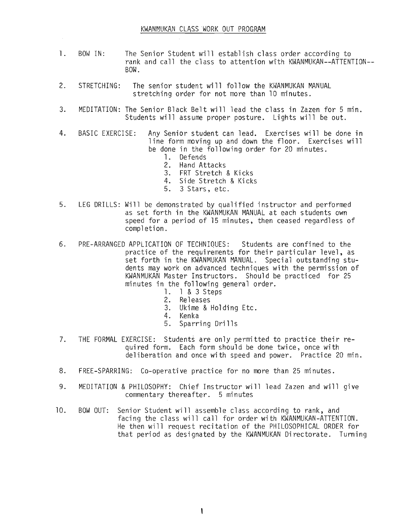$\mathcal{L}$ 

- 1. BOW IN: The Senior Student will establish class order according to rank and call the class to attention with KWANMUKAN--ATTENTION--BOW.
- 2. STRETCHING: The senior student will follow the KWANMUKAN MANUAL stretching order for not more than 10 minutes.
- 3. MEDITATION: The Senior Black Belt will lead the class in Zazen for 5 min. Students will assume proper posture. Lights will be out.
- 4. BASIC EXERCISE: Any Senior student can lead. Exercises will be done in line form moving up and down the floor. Exercises will be done in the following order for 20 minutes.
	- 1. Defends
	- 2. Hand Attacks
	- 3. FRT Stretch & Kicks
	- 4. Side Stretch & Kicks
	- 5. 3 Stars, etc.
- 5. LEG DRILLS: Will be demonstrated by qualified instructor and performed as set forth in the KWANMUKAN MANUAL at each students own speed for a period of 15 minutes, then ceased regardless of completion.
- 6. PRE-ARRANGED APPLICATION OF TECHNIQUES: Students are confined to the practice of the requirements for their particular level, as set forth in the KWANMUKAN MANUAL. Special outstanding students may work on advanced techniques with the permission of KWANMUKAN Master Instructors. Should be practiced for 25 minutes in the following general order.
	- 1. 1 & 3 Steps
	- 2. Releases
	- 3. Ukime & Holding Etc.<br>4. Kenka
	- 4. Kenka
	- 5. Sparring Drills
- 7. THE FORMAL EXERCISE: Students are only permitted to practice their required form. Each form should be done twice, once with deliberation and once with speed and power. Practice 20 min.
- 8. FREE-SPARRING: Co-operative practice for no more than 25 minutes.
- 9. MEDITATION & PHILOSOPHY: Chief Instructor will lead Zazen and will give commentary thereafter. 5 minutes
- 10. BOW OUT: Senior Student will assemble class according to rank, and facing the class will call for order with KWANMUKAN-ATTENTION. He then will request recitation of the PHILOSOPHICAL ORDER for that period as designated by the KWANMUKAN Directorate. Turning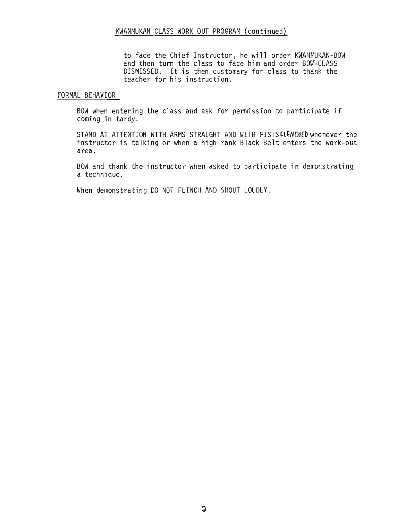to face the Chief Instructor, he wi 11 order KWANMUKAN-BOW and then turn the class to face him and order BOW-CLASS DISMISSED. It is then customary for class to thank the teacher for his fnstruction.

## FORMAL BEHAVIOR

 $\mathbb{R}^3$ 

BOW when entering the class and ask for permission to participate if coming in tardy.

STAND AT ATTENTION WITH ARMS STRAIGHT AND WITH FISTSCLENCHED whenever the instructor is talking or when a high rank Black Belt enters the work-out area.

BOW and thank the instructor when asked to participate in demonstrating a technique.

When demonstrating DO NOT FLINCH AND SHOUT LOUDLY.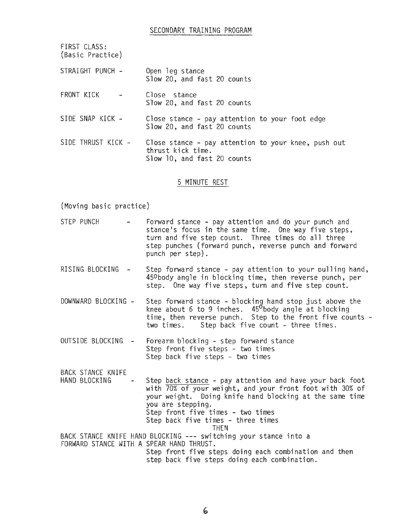| FIRST CLASS:<br>(Basic Practice) |                                                                                                         |
|----------------------------------|---------------------------------------------------------------------------------------------------------|
| STRAIGHT PUNCH -                 | Open leg stance<br>Slow 20, and fast 20 counts                                                          |
| FRONT KICK                       | Close stance<br>Slow 20, and fast 20 counts                                                             |
| SIDE SNAP KICK -                 | Close stance - pay attention to your foot edge<br>Slow 20, and fast 20 counts                           |
| SIDE THRUST KICK -               | Close stance - pay attention to your knee, push out<br>thrust kick time.<br>Slow 10, and fast 20 counts |

#### 5 MINUTE REST

(Moving basic practice)

- STEP PUNCH Forward stance pay attention and do your punch and stance's focus in the same time. One way five steps, turn and five step count. Three times do all three step punches (forward punch, reverse punch and forward punch per step).
- RISING BLOCKING Step forward stance pay attention to your pulling hand, 450 body angle in blocking time, then reverse punch, per step. One way five steps, turn and five step count.
- DOWNWARD BLOCKING Step forward stance blocking hand stop just above the knee about 6 to 9 inches. 45<sup>0</sup>body angle at blocking time, then reverse punch. Step to the front five counts two times. Step back five count - three times.
- OUTSIDE BLOCKING Forearm blocking step forward stance Step front five steps - two times Step back five steps - two times

BACK STANCE KNIFE HAND BLOCKING - Step back stance - pay attention and have your back foot with 70% of your weight, and your front foot with 30% of your weight. Doing knife hand blocking at the same time you are stepping. Step front five times - two times Step back five times - three times THEN BACK STANCE KNIFE HAND BLOCKING --- switching your stance into a FORWARD STANCE WITH A SPEAR HAND THRUST. Step front five steps doing each combination and then step back five steps doing each combination.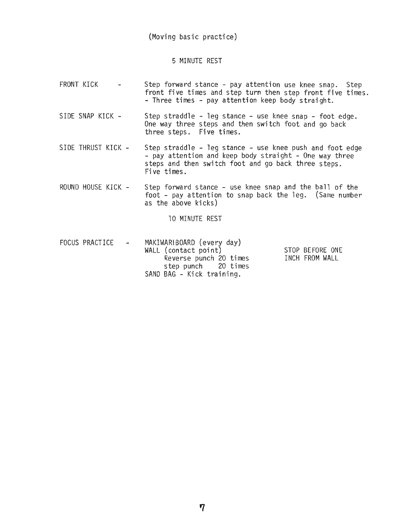# (Moving basic practice)

# 5 MINUTE REST

- FRONT KICK Step forward stance - pay attention use knee snap. Step  $\overline{a}$ front five times and step turn then step front five times. - Three times - pay attention keep body straight.
- SIDE SNAP KICK Step straddle - leg stance - use knee snap - foot edge. One way three steps and then switch foot and go back three steps. Five times.
- SIDE THRUST KICK Step straddle - leg stance - use knee push and foot edge<br>- pay attention and keep body straight - One way three steps and then switch foot and go back three steps. Five times.
- ROUND HOUSE KICK Step forward stance - use knee snap and the ball of the foot - pay attention to snap back the leg. (Same number as the above kicks)

10 MINUTE REST

FOCUS PRACTICE - MAKIWARIBOARD (every day) WALL (contact point) Reverse punch 20 times step punch 20 times SAND BAG - Kick training. STOP BEFORE ONE INCH FROM WALL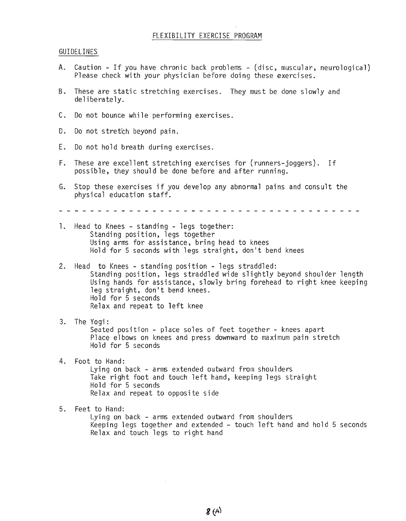# FLEXIBILITY EXERCISE PROGRAM

#### GUIDELINES

- A. Caution If you have chronic back problems (disc, muscular, neurological) Please check with your physician before doing these exercises.
- B. These are static stretching exercises. They must be done slowly and deliberately.
- C. Do not bounce while performing exercises.
- D. Do not stretch beyond pain.
- E. Do not hold breath during exercises.
- F. These are excellent stretching exercises for (runners-joggers). If possible, they should be done before and after running.
- G. Stop these exercises if you develop any abnormal pains and consult the physical education staff.

- 1. Head to Knees standing legs together: Standing position, legs together Using arms for assistance, bring head to knees Hold for 5 seconds with legs straight, don't bend knees
- 2. Head to Knees standing position legs straddled: Standing position, legs straddled wide slightly beyond shoulder length Using hands for assistance, slowly bring forehead to right knee keeping leg straight, don't bend knees. Ho 1d for 5 seconds Relax and repeat to left knee
- 3. The Yogi: Seated position - place soles of feet together - knees apart Place elbows on knees and press downward to maximum pain stretch Hold for 5 seconds
- 4. Foot to Hand:

Lying on back - arms extended outward from shoulders Take right foot and touch left hand, keeping legs straight Hold for 5 seconds Relax and repeat to opposite side

5. Feet to Hand:

Lying on back - arms extended outward from shoulders Keeping legs together and extended - touch left band and hold 5 seconds Relax and touch legs to right hand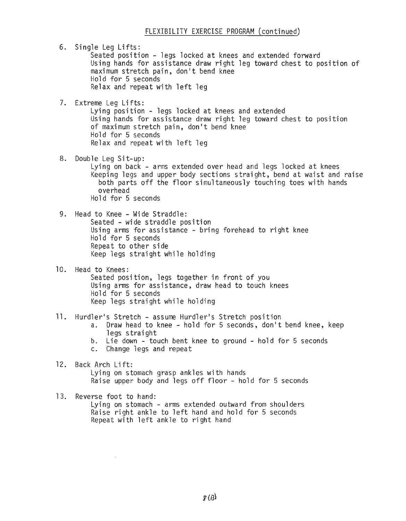6. Single Leg Lifts: Seated position - legs locked at knees and extended forward Using hands for assistance draw right leg toward chest to position of maximum stretch pain, don't bend knee Hold for 5 seconds Re1ax and repeat with 1eft 1eg 7. Extreme Leg Lifts: Lying position - legs locked at knees and extended Using hands for assistance draw right leg toward chest to position of maximum stretch pain, don't bend knee Hold for 5 seconds Relax and repeat with left leg 8. Double Leg Sit-up: Lying on back - arms extended over head and legs locked at knees Keeping legs and upper body sections straight, bend at waist and raise both parts off the floor simultaneously touching toes with hands overhead Hold for 5 seconds 9. Head to Knee - Wide Straddle: Seated - wide straddle position Using arms for assistance - bring forehead to right knee Hold for 5 seconds Repeat to other side Keep legs straight while holding 10. Head to Knees: Seated position, legs together in front of you Using arms for assistance, draw head to touch knees Hold for 5 seconds Keep legs straight while holding 11. Hurdler's Stretch - assume Hurdler's Stretch position a. Draw head to knee - hold for 5 seconds, don't bend knee, keep 1egs strai ght b. Lie down - touch bent knee to ground - hold for 5 seconds c. Change legs and repeat 12. Back Arch Lift: Lying on stomach grasp ankles with hands Raise upper body and legs off floor - hold for 5 seconds 13. Reverse foot to hand: Lying on stomach - arms extended outward from shoulders Raise right ankle to left hand and hold for 5 seconds Repeat with left ankle to right hand

 $\sim$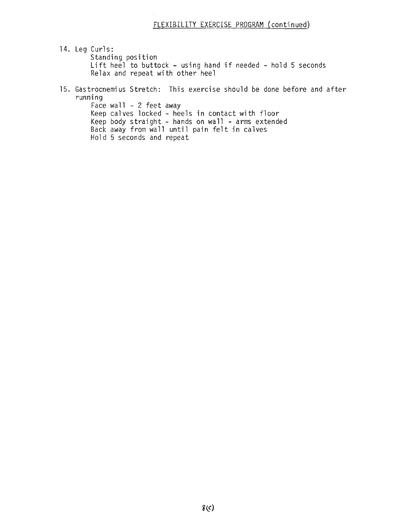14. Leg Curls: Standing position Lift heel to buttock - using hand if needed - hold 5 seconds Re1ax and repeat wi th other hee1

15. Gastrocnemius Stretch: This exercise should be done before and after running Face wall  $-2$  feet away

Keep calves locked - heels in contact with floor Keep body straight - hands on wall - arms extended Back away from wall until pain felt in calves Hold 5 seconds and repeat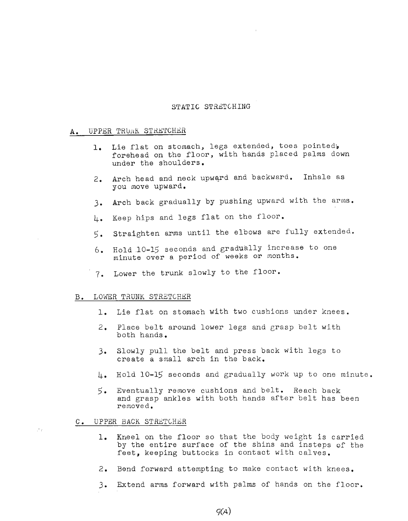## STATIC STRETCHING

## A. UPPER TRUNK STRETCHER

- 1. Lie flat on stomach, legs extended, toes pointed, forehead on the floor, with hands placed palms down under the shoulders.
- 2. Arch head and neck upward and backward. Inhale as you move upward.
- 3. Arch back gradually by pushing upward with the arms.
- 4. Keep hips and legs flat on the floor.
- 5. Straighten arms until the elbows are fully extended.
- 6. Hold .10-lS seconds and gradually increase to one minute over a period of weeks or months.
- 7. Lower the trunk slowly to the floor.

#### B. LOWER TRUNK STRETCHER

- 1. Lie flat on stomach with two cushions under knees.
- 2. Place belt around lower legs and grasp belt with both hands.
- 3. Slowly pull the belt and press back with legs to create a small arch in the back.
- 4. Hold 10-15 seconds and gradually work up to one minute.
- 5. Eventually remove cushions and belt. Reach back and grasp ankles with both hands after belt has been removed.

## C. UPPER BACK STRETCHER

 $\sim$   $\mu$ 

- 1. Kneel on the floor so that the body weight is carried by the entire surface of the shins and insteps of the feet, keeping buttocks in contact with calves.
- 2. Bend forward attempting to make contact with knees.
- 3. Extend arms forward with palms of hands on the floor.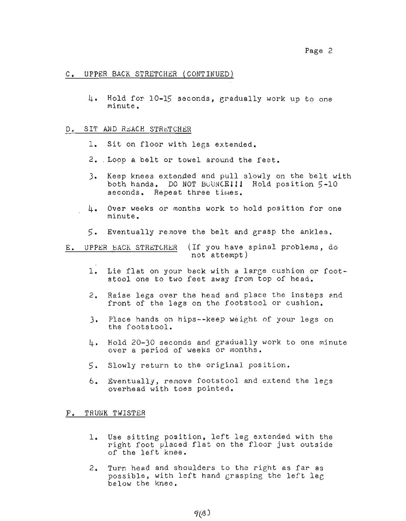# C. UPPER BACK STRETCHER (CONTINUED)

4. Hold for 10-15 seconds, eradually work up to one minute.

#### D. SIT AND REACH STRETCHER

- 1. Sit on floor with legs extended.
- 2. Loop a belt or towel around the feet.
- 3. Keep knees extended and pull slowly on the belt with both hands. DO NOT BUUNCEllJ Hold position 5-10 seconds. Repeat three times.
- 4. Over weeks or months work to hold position for one minute.
- 5. Eventually remove the belt and grasp the ankles.

E. UPPER BACK STRETCHER (If you have spinal problems, do not attempt)

- 1. Lie flat on your back with <sup>a</sup> large cushion or footstool one to two feet away from top of head.
- 2. Raise legs over the head and place the insteps and front of the legs on the footstool or cushion.
- 3. Place hands on hips--keep weight of your legs on the footstool.
- 4. Hold 20-30 seconds and gradually work to one minute over a period of weeks or months.
- 5. Slowly return to the original position.
- $6.$  Eventually, remove footstool and extend the legs overhead with toes pointed.

## F. TRUNK TWISTER

- 1. Use sitting position, left leg extended with the right foot placed flat on the floor just outside of the left knee.
- 2. Turn head and shoulders to the right as far as possible, with left hand grasping the left leg below the knee.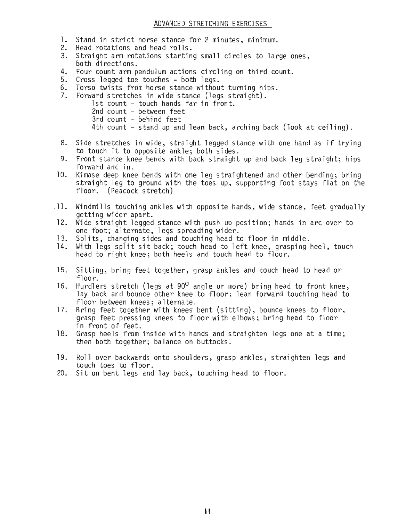## BAG ROUTINE BASIC YUP CHAGGI

- 1) 10 Reps Back Position
- 2) 10 Reps Side Position
- 3) 10 Reps Front Position
- 4) 10 Reps Rear Front Position
- 5) 10 Reps Side Skip Position
- 6) 10 Reps Back Kick Turn Position
- 7) 10 Reps Step Turn Back Kick Position

FOR POWER KICK Do **1-2-3-4-** with increased reps.

FOR TIMING KICK Kick only when bag reaches vertical position

 $POINTS - Swing bag as high as possible$ 

Stand up straight

Tighten bdth legs on impact

All kicks pass through all positions to end in #1 position

Concentrate fully on each and every kick

Routine is effective only if done for minimum period of two months. Otherwise don't waste your time!!

> George Anderson 1974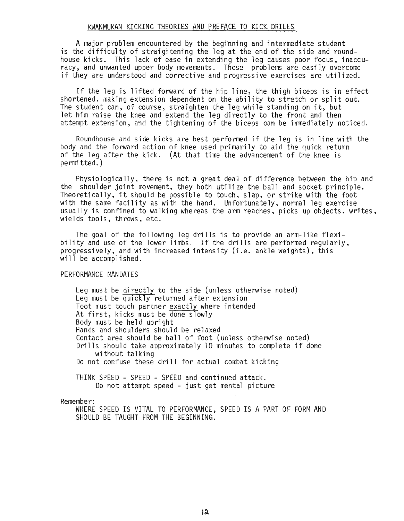# ADVANCED STRETCHING EXERCISES

- 1. Stand in strict horse stance for 2 minutes, minimum.
- 2. Head rotations and head rolls.
- 3. Straight arm rotations starting small circles to large ones, both di recti ons.
- 4. Four count arm pendulum actions circling on third count.
- 5. Cross legged toe touches both legs.
- 6. Torso twists from horse stance without turning hips.
- 7. Forward stretches in wide stance (legs straight).
	- 1st count touch hands far in front.
		- 2nd count between feet
		- 3rd count behind feet
		- 4th count stand up and lean back, arching back (look at ceiling).
- 8. Side stretches in wide, straight legged stance with one hand as if trying to touch it to ppposite ankle; both sides.
- 9. Front stance knee bends with back straight up and back leg straight; hips forward and in.
- 10. Kimase deep knee bends with one leg straightened and other bending; bring straight leg to ground with the toes up, supporting foot stays flat on the floor. (Peacock stretch)
- $\Box$ ]. Windmills touching ankles with opposite hands, wide stance, feet gradually getting wider apart.
- 12. Wide straight legged stance with push up position; hands in arc over to one foot; alternate, legs spreading wider.
- 13. Splits, changing sides and touching head to floor in middle.
- 14. With legs split sit back; touch head to left knee, grasping heel, touch head to right knee; both heels and touch head to floor.
- 15. Sitting, bring feet together, grasp ankles and touch head to head or floor.
- 16. Hurdlers stretch (legs at  $90^0$  angle or more) bring head to front knee, lay back and bounce other knee to floor; lean forward touching head to floor between knees; alternate.
- 17. Bring feet together with knees bent (sitting), bounce knees to floor, grasp feet pressing knees to floor with elbows; bring head to floor in front of feet.
- 18. Grasp heels from inside with hands and straighten legs one at a time; then both together; balance on buttocks.
- 19. Roll over backwards onto shoulders, grasp ankles, straighten legs and touch toes to floor.
- 20. Sit on bent legs and lay back, touching head to floor.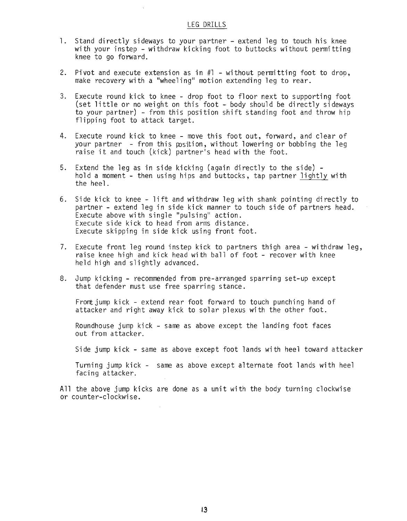#### KWANMUKAN KICKING THEORIES AND PREFACE TO KICK DRILLS

A major problem encountered by the beginning and intermediate student is the difficulty of straightening the leg at the end of the side and roundhouse kicks. This lack of ease in extending the leg causes poor focus, inaccuracy, and unwanted upper body movements. These problems' are easily overcome if they are understood and corrective and progressive exercises are utilized.

If the leg is lifted forward of the hip line, the thigh biceps is in effect shortened, making extension dependent on the ability to stretch or split out. The student can, of course, straighten the leg while standing on it, but let him raise the knee and extend the leg directly to the front and then attempt extension, and the tightening of the biceps can be immediately noticed.

Roundhouse and side kicks are best performed if the leg is in line with the body and the forward action of knee used primarily to aid the quick return of the leg after the kick. (At that time the advancement of the knee is permi tted. )

Physiologically, there is not a great deal of difference between the hip and the shoulder joint movement, they both utilize the ball and socket principle. Theoretically, it should be possible to touch, slap, or strike with the foot with the same facility as with the hand. Unfortunately, normal leg exercise usually is confined to walking whereas the arm reaches, picks up objects, writes, wields tools, throws, etc.

The goal of the following leg drills is to provide an arm-like flexibility and use of the lower limbs. If the drills are performed regularly, progressively, and with increased intensity (i.e. ankle weights), this will be accomplished.

# PERFORMANCE MANDATES

Leg must be directly to the side (unless otherwise noted) Leg must be quickly returned after extension Foot must touch partner exactly where intended At first, kicks must be done slowly Body must be held upright Hands and shoulders should be relaxed Contact area should be ball of foot (unless otherwise noted) Drills should take approximately <sup>10</sup> minutes to complete if done without talking Do not confuse these drill for actual combat kicking

THINK SPEED - SPEED - SPEED and continued attack. Do not attempt speed - just get mental picture

Remember:

WHERE SPEED IS VITAL TO PERFORMANCE, SPEED IS A PART OF FORM AND SHOULD BE TAUGHT FROM THE BEGINNING.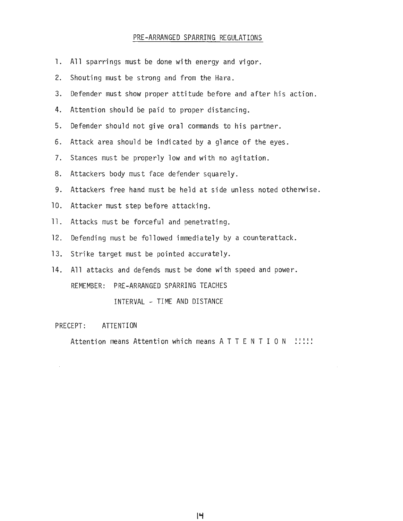#### LEG DRILLS

- 1. Stand directly sideways to your partner extend leg to touch his knee with your instep - withdraw kicking foot to buttocks without permitting knee to go forward.
- 2. Pivot and execute extension as in  $#1$  without permitting foot to drop, make recovery with a "wheeling" motion extending leg to rear.
- 3. Execute round kick to knee drop foot to floor next to supporting foot (set little or no weight on this foot - body should be directly sideways to your partner) - from this position shift standing foot and throw hip flipping foot to attack target.
- 4. Execute round kick to knee move this foot out, forward, and clear of your partner  $-$  from this position, without lowering or bobbing the leg raise it and touch (kick) partner's head with the foot.
- 5. Extend the leg as in side kicking (again directly to the side) -<br>hold a moment then using hips and buttocks, tap partner lightly with the heel.
- 6. Side kick to knee lift and withdraw leg with shank pointing directly to partner - extend leg in side kick manner to touch side of partners head. Execute above with single "pulsing" action. Execute side kick to head from arms distance. Execute skipping in side kick using front foot.
- 7. Execute front leg round instep kick to partners thigh area withdraw leg, raise knee high and kick head with ball of foot - recover with knee held high and slightly advanced.
- 8. Jump kicking recommended from pre-arranged sparring set-up except that defender must use free sparring stance.

Front jump kick - extend rear foot forward to touch punching hand of attacker and right away kick to solar plexus with the other foot.

Roundhouse jump kick - same as above except the landing foot faces out from attacker.

Side jump kick - same as above except foot lands with heel toward attacker

Turning jump kick - same as above except alternate foot lands with heel facing attacker.

All the above jump kicks are done as a unit with the body turning clockwise or counter-clockwise.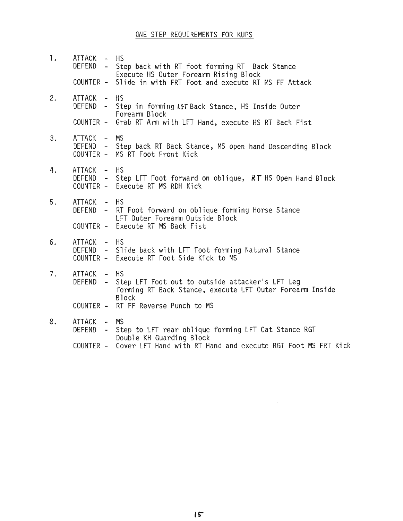### PRE-ARRANGED SPARRING REGULATIONS

- 1. All sparrings must be done with energy and vigor.
- 2. Shouting must be strong and from the Hara.
- 3. Defender must show proper attitude before and after his action.
- 4. Attention should be paid to proper distancing.
- 5. Defender should not give oral commands to his partner.
- 6. Attack area should be indicated by a glance of the eyes.
- 7. Stances must be properly low and with no agitation.
- 8. Attackers body must face defender squarely.
- 9. Attackers free hand must be held at side unless noted otherwise.
- 10. Attacker must step before attacking.
- 11. Attacks must be forceful and penetrating.
- 12. Defending must be followed immediately by a counterattack.
- 13. Strike target must be pointed accurately.
- 14. All attacks and defends must be done with speed and power. REMEMBER: PRE-ARRANGED SPARRING TEACHES

INTERVAL - TIME AND DISTANCE

## PRECEPT: ATTENTION

Attention means Attention which means A T T E N T I O N : !!!!

14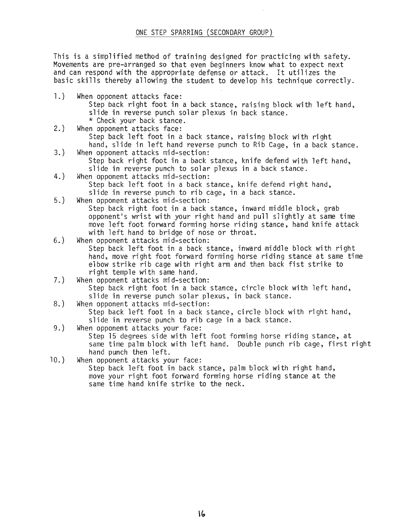# ONE STEP REQUIREMENTS FOR KUPS

1. ATTACK - HS DEFEND - Step back with RT foot forming RT Back Stance Execute HS Outer Forearm Rising Block COUNTER - Slide in with FRT Foot and execute RT MS FF Attack 2. ATTACK - HS DEFEND - Step in forming LST Back Stance, HS Inside Outer Forearm Block COUNTER - Grab RT Arm with LFT Hand, execute HS RT Back Fist 3. ATTACK - MS DEFEND - Step back RT Back Stance, MS open hand Descending Block COUNTER - MS RT Foot Front Kick 4. ATTACK - HS DEFEND - Step LFT Foot forward on oblique, *RT* HS Open Hand Block COUNTER - Execute RT MS RDH Kick 5. ATTACK - HS DEFEND - RT Foot forward on oblique forming Horse Stance LFT Outer Forearm Outside Block COUNTER - Execute RT MS Back Fist 6. ATTACK - HS DEFEND - Slide back with LFT Foot forming Natural Stance COUNTER - Execute RT Foot Side Kick to MS 7. ATTACK - HS DEFEND - Step LFT Foot out to outside attacker's LFT Leg forming RT Back Stance, execute LFT Outer Forearm Inside Block COUNTER - RT FF Reverse Punch to MS 8. ATTACK - MS DEFEND - Step to LFT rear oblique forming LFT Cat Stance RGT Double KH Guarding Block COUNTER - Cover LFT Hand with RT Hand and execute RGT Foot MS FRT Kick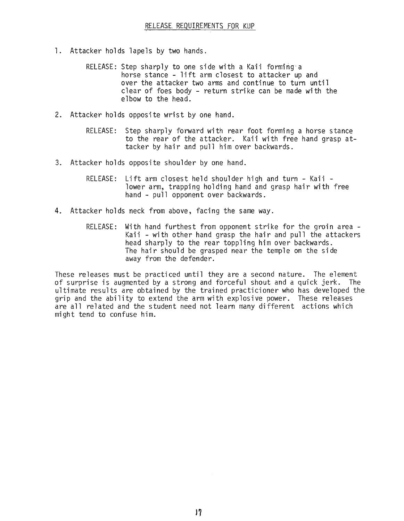This is a simplified method of training designed for practicing with safety. Movements are pre-arranged so that even 5eginners know what to expect next and can respond with the appropriate defense or attack. It utilizes the basic skills thereby allowing the student to develop his technique correctly.

- 1.) When opponent attacks face: Step back right foot in a back stance, raising block with left hand, slide in reverse punch solar plexus in back stance.<br>\* Check your back stance.
- 2.) When opponent attacks face: Step back left foot in a back stance, raising block with right hand, slide in left hand reverse punch to Rib Cage, in a back stance.
- 3.) When opponent attacks mid-section: Step back right foot in a back stance, knife defend with left hand,
- slide in reverse punch to solar plexus in a back stance. 4.) When opponent attacks mid-section: Step back left foot in a back stance, knife defend right hand, slide in reverse punch to rib cage, in a back stance.
- 5.) When opponent attacks mid-section: Step back right foot in a back stance, inward middle block, grab opponent's wrist with your right hand and pull slightly at same time move left foot forward forming horse riding stance, hand knife attack with left hand to bridge of nose or throat.
- 6.) When opponent attacks mid-section: Step back left foot in a back stance, inward middle block with right hand, move right foot forward forming horse riding stance at same time elbow strike rib cage with right arm and then back fist strike to right temple with same hand.
- 7.) When opponent attacks mid-section: Step back right foot in a back stance, circle block with left hand, slide in reverse punch solar plexus, in back stance.
- 8.) When opponent attacks mid-section:

Step back left foot in a back stance, circle block with right hand, slide in reverse punch to rib cage in a back stance.

9.) When opponent attacks your face: Step 15 degrees side with left foot forming horse riding stance, at

same time palm block with left hand. Double punch rib cage, first right hand punch then left.

10.) When opponent attacks your face:

Step back left foot in back stance, palm block with right hand, move your right foot forward forming horse riding stance at the same time hand knife strike to the neck.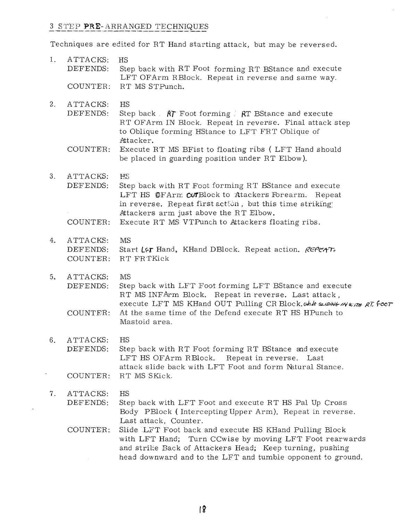- 1. Attacker holds lapels by two hands.
	- RELEASE: Step sharply to one side with a Kaii forming-a horse stance - lift arm closest to attacker up and over the attacker two arms and continue to turn until clear of foes body - return strike can be made with the elbow to the head.
- 2. Attacker holds opposite wrist by one hand.
	- RELEASE: Step sharply forward with rear foot forming a horse stance to the rear of the attacker. Kaii with free hand grasp attacker by hair and pull him over backwards.
- 3. Attacker holds opposite shoulder by one hand.
	- RELEASE: Lift arm closest held shoulder high and turn Kaii -<br>lower arm, trapping holding hand and grasp hair with free hand - pull opponent over backwards.
- 4. Attacker holds neck from above, facing the same way.
	- RELEASE: With hand furthest from opponent strike for the groin area Kaii - with other hand grasp the hair and pull the attackers head sharply to the rear toppling him over backwards. The hair should be grasped near the temple on the side away from the defender.

These releases must be practiced until they are a second nature. The element of surprise is augmented by a strong and forceful shout and a quick jerk. The ultimate results are obtained by the trained practicioner who has developed the grip and the ability to extend the arm with explosive power. These releases are all related and the student need not learn many different actions which might tend to confuse him.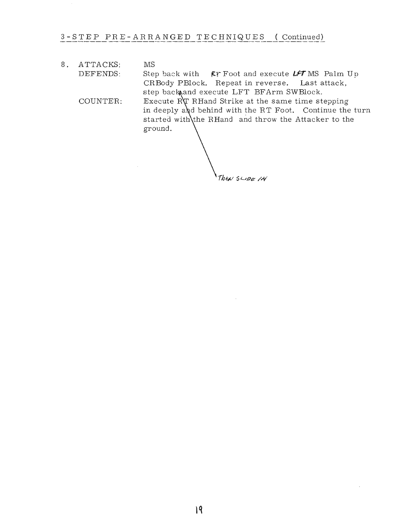# 3 STEP PRE-ARRANGED TECHNIQUES

Techniques are edited for RT Hand starting attack, but may be reversed.

- HS Step back with RT Foot forming RT BStance and execute LFT OFArm RBlock. Repeat in reverse and same way. COUNTER: RT MS STPunch. l. ATTACKS: DEFENDS:
- HS Step back  $\Lambda \uparrow$  Foot forming  $\downarrow$  RT BStance and execute RT OFArm IN Block. Repeat in reverse. Final attack step to Oblique forming HStance to LFT FRT Oblique of Attacker. 2. ATTACKS: DEFENDS:
	- COUNTER: Execute RT MS BFist to floating ribs ( LFT Hand should be placed in guarding position under RT Elbow).
- 3. ATTACKS: DEFENDS: HS Step back with RT Foot forming RT BStance and execute LFT HS OFArm CUTBlock to Atackers Forearm. Repeat in reverse. Repeat first action, but this time striking: Attackers arm just above the RT Elbow.
	- COUNTER: Execute RT MS VTPunch to Attackers floating ribs.
- 4. ATTACKS: DEFENDS: COUNTER: MS Start L&**r** Hand, KHand DBlock. Repeat action. REPEAT. RT FRTKick
- 5. ATTACKS: DEFENDS: COUNTER: MS Step back with LFT Foot forming LFT BStance and execute RT MS INFArm Block. Repeat in reverse. Last attack, execute LFT MS KHand OUT Pulling CR Block.whle supple in with RT. foor At the same time of the Defend execute RT HS HPunch to Mastoid area.
- 6. ATTACKS: DEFENDS: COUNTER: HS Step back with RT Foot forming RT BStance and execute LFT HS OFArm RBlock. Repeat in reverse. Last attack slide back with LFT Foot and form Natural Stance. RT MS SKick.
- 7. ATTACKS: DEFENDS: HS Step back with LFT Foot and execute RT HS Pal Up Cross Body PBlock ( Intercepting Upper Arm). Repeat in reverse. Last attack, Counter.
	- COUNTER: Slide LFT Foot back and execute HS KHand Pulling Block with LFT Hand; Turn CCwise by moving LFT Foot rearwards and strike Back of Attackers Head; Keep turning, pushing head downward and to the LFT and tumble opponent to ground.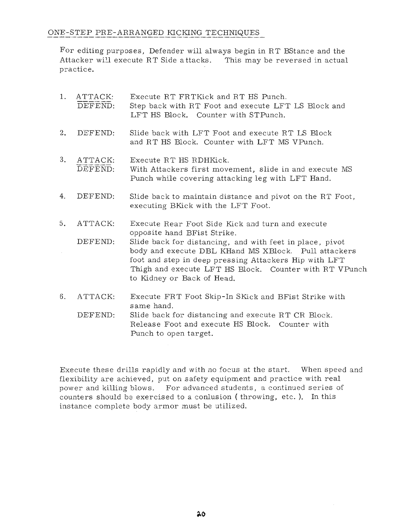8. ATTACKS: DEFENDS: COUNTER: MS Step back with **FF** Foot and execute *LFT* MS Palm Up CRBody PBlock. Repeat in reverse. Last attack, step back and execute LFT BFArm SWBlock. Execute RT RHand Strike at the same time stepping in deeply and behind with the RT Foot. Continue the turn started with the RHand and throw the Attacker to the ground.

Then SLIDE IN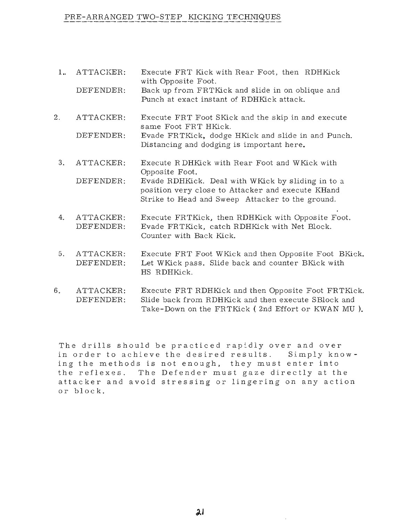# ONE-STEP PRE-ARRANGED KICKING TECHNIQUES

For editing purposes, Defender will always begin in RT BStance and the Attacker will execute RT Side a ttacks. This may be reversed in actual practice.

| 1. | ATTACK:<br>DEFEND:           | Execute RT FRTKick and RT HS Punch.<br>Step back with RT Foot and execute LFT LS Block and<br>LFT HS Block. Counter with STPunch.                                                                                                                                                                                                                    |
|----|------------------------------|------------------------------------------------------------------------------------------------------------------------------------------------------------------------------------------------------------------------------------------------------------------------------------------------------------------------------------------------------|
| 2. | DEFEND:                      | Slide back with LFT Foot and execute RT LS Block<br>and RT HS Block. Counter with LFT MS VPunch.                                                                                                                                                                                                                                                     |
| 3. | ATTACK:<br>DEFEND:           | Execute RT HS RDHKick.<br>With Attackers first movement, slide in and execute MS<br>Punch while covering attacking leg with LFT Hand.                                                                                                                                                                                                                |
| 4. | DEFEND:                      | Slide back to maintain distance and pivot on the RT Foot,<br>executing BKick with the LFT Foot.                                                                                                                                                                                                                                                      |
| 5. | ATTACK:<br>DEFEND:           | Execute Rear Foot Side Kick and turn and execute<br>opposite hand BFist Strike.<br>Slide back for distancing, and with feet in place, pivot<br>body and execute DBL KHand MS XBlock. Pull attackers<br>foot and step in deep pressing Attackers Hip with LFT<br>Thigh and execute LFT HS Block. Counter with RT VPunch<br>to Kidney or Back of Head. |
| 6. | ATTACK:<br>DIDITION TO A TIM | Execute FRT Foot Skip-In SKick and BFist Strike with<br>same hand.<br>$\alpha_1$ , $\alpha_2$ , $\alpha_3$ , $\alpha_4$ , $\alpha_5$ , $\alpha_6$ , $\alpha_7$ , $\alpha_8$ , $\alpha_9$ , $\alpha_9$ , $\alpha_1$ , $\alpha_2$ , $\alpha_3$ , $\alpha_5$                                                                                            |

DEFEND: Slide back for distancing and execute RT CR Block. Release Foot and execute HS Block. Counter with Punch to open target.

Execute these drills rapidly and with no focus at the start. When speed and flexibility are achieved, put on safety equipment and practice with real power and killing blows. For advanced students, a continued series of counters should be exercised to a conlusion (throwing, etc.). In this instance complete body armor must be utilized.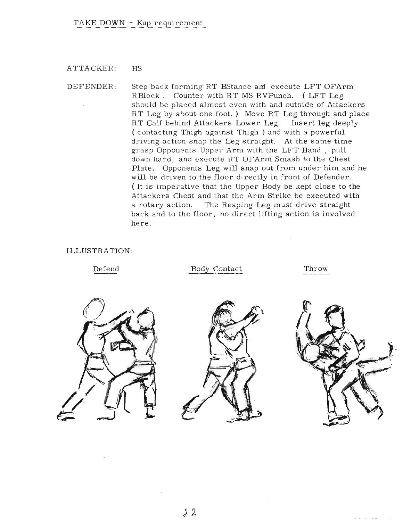# PRE-ARRANGED TWO-STEP KICKING TECHNIQUES

- 1.. ATTACKER: DEFENDER: Execute FRT Kick with Rear Foot, then RDHKick with Opposite Foot. Back up from FRTKick and slide in on oblique and Punch at exact instant of RDHKick attack.
- 2. ATTACKER: Execute FRT Foot SKick and the skip in and execute same Foot FRT HKick.
	- DEFENDER: Evade FRTKick. dodge HKick and slide in and Punch. Distancing and dodging is important here.
	- 3. ATTACKER: Execute R DHKick with Rear Foot and WKick with Opposite Foot.
		- DEFENDER: Evade RDHKick. Deal with WKick by sliding in to a position very close to Attacker and execute KHand Strike to Head and Sweep Attacker to the ground.
	- 4. ATTACKER: DEFENDER: Execute FRTKick, then RDHKIck with Opposite Foot. Evade FRTKick, catch RDHKick with Net Block. Counter with Back Kick.
- 5. ATTACKER: DEFENDER: Execute FRT Foot WKick and then Opposite Foot BKick. Let WKick pass. Slide back and counter BKick with HS RDHKick.
- 6. ATTACKER: DEFENDER: Execute FRT RDHKick and then Opposite Foot FRTKick. Slide back from RDHKick and then execute SBlock and Take-Down on the FRTKick ( 2nd Effort or KWAN MU **).**

The drills should be practiced rapidly over and over in order to achieve the desired results. Simply knowing the methods is not enough, they must enter into the reflexes. The Defender must gaze directly at the attacker and avoid stressing or lingering on any action or block.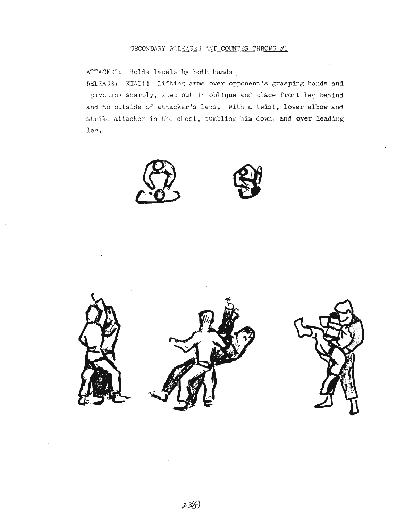#### ATTACKER: HS

DEFENDER: Step back forming RT BStance am execute LFT OFArm RBlock. Counter with RT MS RVPunch. (LFT Leg should be placed almost even with and outside of Attackers RT Leg by about one foot.) Move RT Leg through and place RT Calf behind Attackers Lower Leg. Insert leg deeply ( contacting Thigh against Thigh) and with a powerful driving action snap the Leg straight. At the same time grasp Opponents Upper Arm with the LFT Hand, pull down hard, and execute HT OFArm Smash to the Chest Plate. Opponents Leg will snap out from under him and he will be driven to the floor directly in front of Defender. ( It is imperative that the Upper Body be kept close to the Attackers Chest and that the Arm Strike be executed with a rotary action. The Reaping Leg must drive straight back and to the floor, no direct lifting action is involved here.

#### ILLUSTRATION:

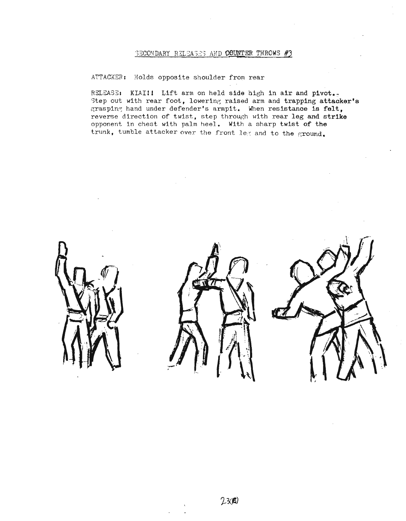ATTACKER: Holds lapels by both hands

RELEASE: KIAI!! Lifting arms over opponent's grasping hands and pivoting sharply, step out in oblique and place front leg behind and to outside of attacker's legs. With a twist, lower elbow and strike attacker in the chest, tumbling him down, and over leading leg.





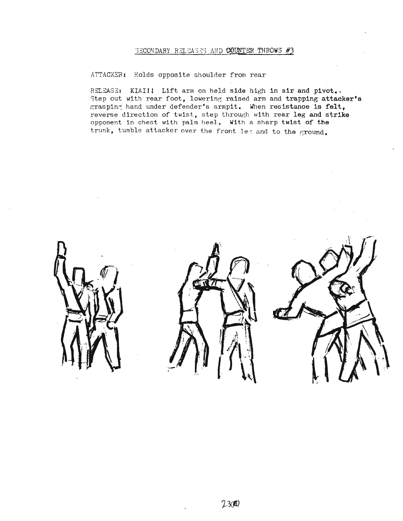## 'BECONDARY RELEASES AND COUNTER THROWS #3

#### ATTACKER: Holds opposite shoulder from rear

RSLEASE: KIAI!! Lift arm on held side high in air and pivot. Step out with rear foot, lowering raised arm and trapping attacker's grasping hand under defender's armpit. When resistance is felt, reverse direction of twist, step through with rear leg and strike opponent in chest with palm heel. With a sharp twist of the trunk, tumble attacker over the front leg and to the ground.





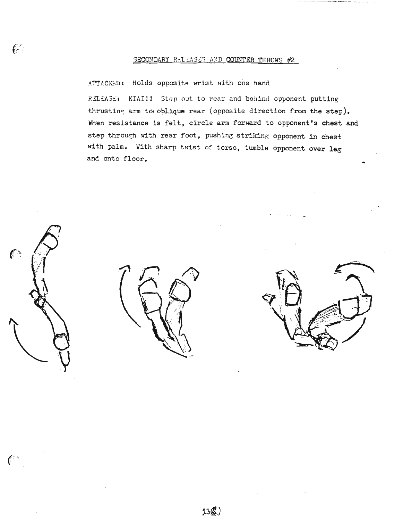# SECONDARY RELEASES AND COUNTER THROWS #3

#### ATTACKER: Holds opposite shoulder from rear

RELEASE: KIAI!! Lift arm on held side high in air and pivot.. Step out with rear foot, lowering raised arm and trapping attacker's grasping hand under defender's armpit. When resistance is felt, reverse direction of twist, step through with rear leg and strike opponent in chest with palm heel. With a sharp twist of the trunk, tumble attacker over the front le< and to the ground.

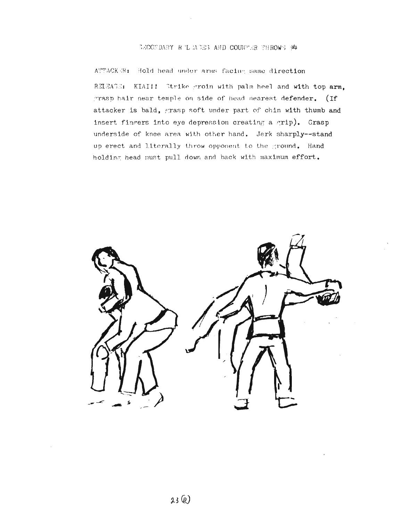# SECONDARY RELEASES AND COUNTER THROWS #2

# ATTACKER: Holds opposite wrist with one hand

RELEASE: KIAI!! Step out to rear and behind opponent putting thrusting arm to oblique rear (opposite direction from the step). When resistance is felt, circle arm forward to opponent's chest and step through with rear foot, pushing striking opponent in chest with palm. With sharp twist of torso, tumble opponent over leg and onto floor.



 $\epsilon$ 

 $\ell^+$ 

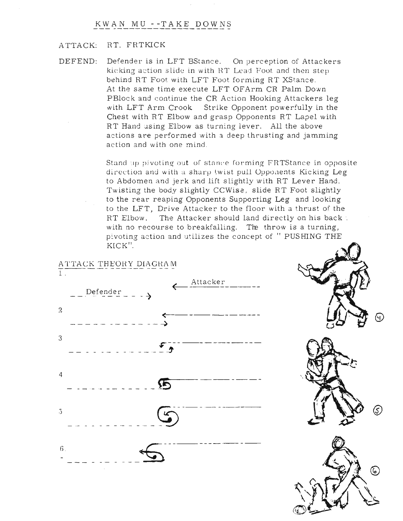#### BECONDARY R L MOES AND COUNTER THROWS #

ATTACKER: Hold head under arms facing same direction RELEATE: KIAI!! Strike groin with palm heel and with top arm. grasp hair near temple on side of head nearest defender. (If attacker is bald, grasp soft under part of chin with thumb and insert fingers into eye depression creating a grip). Grasp underside of knee area with other hand. Jerk sharply--stand up erect and literally throw opponent to the ground. Hand holding head must pull down and back with maximum effort.

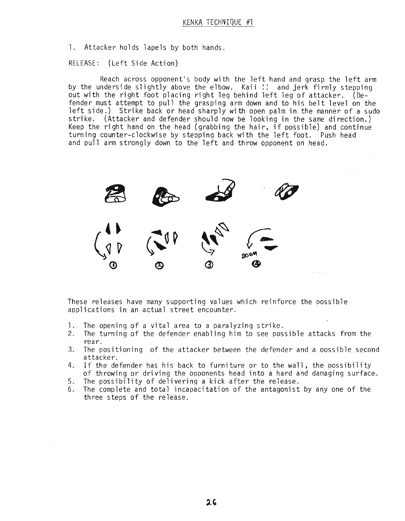# KWAN MU --TAKE DOWNS

# ATTACK: RT. FRTKICK

DEFEND: Defender is in LFT BStance. On perception of Attackers kicking action slide in with RT Lead Foot and then step behind RT Foot with LFT Foot forming RT XStance. At the same time execute LFT OFArm CR Palm Down PBlock and continue the CR Action Hooking Attackers leg with LFT Arm Crook Strike Opponent powerfully in the Chest with RT Elbow and grasp Opponents RT Lapel with RT Hand using Elbow as turning lever. All the above actions are performed with a deep thrusting and jamming action and with one mind.

> Stand up pivoting out of stance forming FRTStance in opposite direction and with a sharp twist pull Opponents Kicking Leg to Abdomen and jerk and lift slightly with RT Lever Hand. Twisting the body slightly CCWise, slide RT Foot slightly to the rear reaping Opponents Supporting Leg and looking to the LFT, Drive Attacker to the floor with a thrust of the RT Elbow. The Attacker should land directly on his back: with no recourse to breakfalling. The throw is a turning, pivoting action and utilizes the concept of " PUSHING THE KICK".